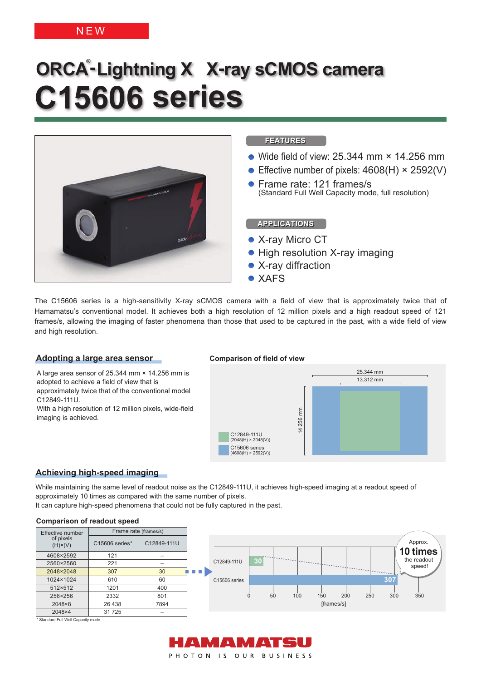# **NEW**

# **ORCA ® -Lightning X X-ray sCMOS camera C15606 series**



The C15606 series is a high-sensitivity X-ray sCMOS camera with a field of view that is approximately twice that of Hamamatsu's conventional model. It achieves both a high resolution of 12 million pixels and a high readout speed of 121 frames/s, allowing the imaging of faster phenomena than those that used to be captured in the past, with a wide field of view and high resolution.

# **Adopting a large area sensor**

A large area sensor of 25.344 mm × 14.256 mm is adopted to achieve a field of view that is approximately twice that of the conventional model C12849-111U. With a high resolution of 12 million pixels, wide-field

imaging is achieved.

# **Comparison of field of view**



# **Achieving high-speed imaging**

While maintaining the same level of readout noise as the C12849-111U, it achieves high-speed imaging at a readout speed of approximately 10 times as compared with the same number of pixels.

It can capture high-speed phenomena that could not be fully captured in the past.

### **Comparison of readout speed**

| Effective number            | Frame rate (frames/s) |                          |                         |                           |    |    |     |            |     |     |     |                       |
|-----------------------------|-----------------------|--------------------------|-------------------------|---------------------------|----|----|-----|------------|-----|-----|-----|-----------------------|
| of pixels<br>$(H)\times(V)$ | C15606 series*        | C12849-111U              |                         |                           |    |    |     |            |     |     |     | Approx.               |
| 4608×2592                   | 121                   | $\overline{\phantom{0}}$ |                         |                           |    |    |     |            |     |     |     | 10 times              |
| 2560×2560                   | 221                   |                          |                         | C12849-111U               | 30 |    |     |            |     |     |     | the readout<br>speed! |
| 2048×2048                   | 307                   | 30                       | <b>CONTRACTOR</b><br>m. |                           |    |    |     |            |     |     |     |                       |
| 1024×1024                   | 610                   | 60                       |                         | C <sub>15606</sub> series |    |    |     |            |     |     | 307 |                       |
| 512×512                     | 1201                  | 400                      |                         |                           |    |    |     |            |     |     |     |                       |
| 256×256                     | 2332                  | 801                      |                         |                           |    | 50 | 100 | 150        | 200 | 250 | 300 | 350                   |
| 2048×8                      | 26 438                | 7894                     |                         |                           |    |    |     | [frames/s] |     |     |     |                       |
| 2048×4                      | 31725                 |                          |                         |                           |    |    |     |            |     |     |     |                       |

\* Standard Full Well Capacity mode